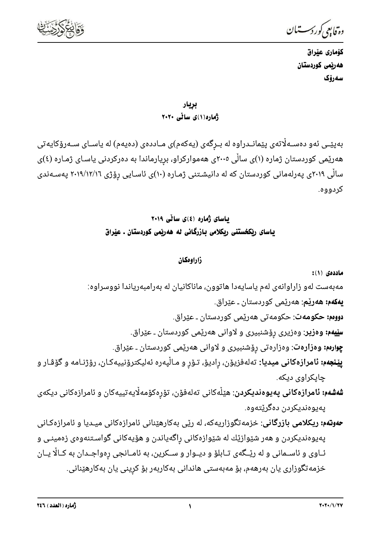

دە تابىي كوردسىتان

كۆمارى عێراق هەربمى كوردستان سەرۆك

بريار ژهارو(۱)ی سائی ۲۰۲۰

بەپێـی ئەو دەسـﻪڵاتەی پێمانـﺪراوە لە بـڕگەی (يەكەم)ی مـﺎددەی (دەيەم) لە ياسـﺎی سـﻪرۆكايەتی هەرێمی کوردستان ژماره (۱)ی ساڵی ۲۰۰۵ی هەموارکراو، برِیارماندا به دەرکردنی یاسـای ژمـاره (٤)ی سالّی ۲۰۱۹ی پهرلهمانی کوردستان که له دانیشـتنی ژمـاره (۱۰)ی ئاسـایی رۆژی ۲۰۱۹/۱۲/۱۲ پهسـهندی کردووه.

> باسای ژماره (٤)ی سائی ۲۰۱۹ یاسای ریکخستنی ریکلامی بازرگانی له ههریمی کوردستان ـ عیراق

## زاراومكان

ماددەي (١): مەبەست لەو زاراوانەی لەم ياسايەدا ھاتوون، ماناكانيان لە بەرامبەرياندا نووسراوە: **بهکهم: ههرێم**: ههرێمی کوردستان ـ عێراق. **دووم،: حکومهت**: حکومهتی ههریمی کوردستان ـ عیّراق. **سێیهم: وەزیر**: وەزیری رۆشنبیری و لاوانی هەرێمی کوردستان ـ عێراق. **چِوارەم: وەزارەت**: وەزارەتى رۆشنبيرى و لاوانى ھەرێمى كوردستان ـ عێراق. **پِیْنجەم: ئامرازەکانی میدیا:** تەلەفزیۆن، رادیۆ، تـۆر و مـالْپەرە ئەلیکترۆنییەکـان، رۆژنـامە و گۆڤـار و چاپکراوي ديکه. **شەشەم: ئامرازەكانى پەيوەنديكردن**: ھێڵەكانى تەلەفۆن، تۆرەكۆمەلّايەتييەكان و ئامرازەكانى ديكەى پەيوەندېكردن دەگرېتەوە.

**حەوتەم: ریکلامی بازرگانی**: خزمەتگوزاریەکە، لە رێی بەکارھێنانی ئامرازەکانی میـدیا و ئامرازەکـانی پهیوهندیکردن و هەر شێوازێك له شێوازەکانی راگەیاندن و هۆیەکانی گواسـتنەوەی زەمینـی و ئــاوی و ئاســمانی و له رێــگهی تــابلۆ و دیــوار و ســکرین، به ئامــانجی رهواجــدان به کــالًا یــان خزمەتگوزارى يان بەرھەم، بۆ مەبەستى ھاندانى بەكاربەر بۆ كرينى يان بەكارھێنانى.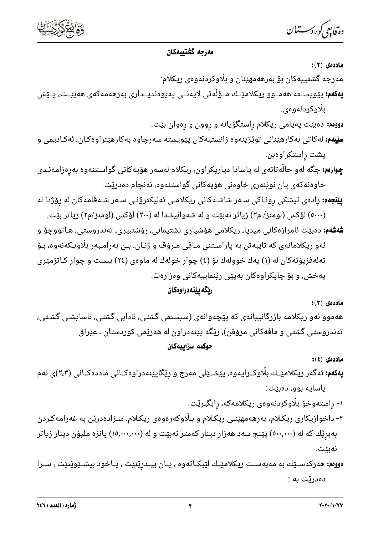

#### مەرجە گشتىيەكان

ماددەي (٢):

مەرجە گشتييەكان بۆ بەرھەمھێنان و بڵاوكردنەوەی ریكلام:

**يەكەم:** پێويســتە ھەمــوو ريكلامێــك مــۆڵەتى لايەنــى پەيوەنديــدارى بەرھەمەكەى ھەبێــت، پــێش بلاوکردنهوهي.

**دووم،:** دهبێت پهیامی ریکلام راستگۆیانه و روون و رِهوان بێت.

**سێیهم:** لهکاتی بهکارهێنانی توێژینهوه زانستیهکان پێویسته سهرچاوه بهکارهێنراوهکـان، ئهکـادیمی و یشت راستکراوەبن.

**چو<sub>ا</sub>رمم:** جگه لهو حالّهتانهی له یاسادا دیاریکراون، ریکلام لهسهر هۆیهکانی گواسـتنهوه بهرهزامهنـدی خاوەنەكەى يان نوينەرى خاوەنى ھۆيەكانى گواستنەوە، ئەنجام دەدريت.

**ییّنجهم:** رادەی تیشکی رونـاکی سـﻪر شاشـﻪکانی ریکلامـی ئەلیکترۆنـی سـﻪر شـﻪقامەکان لە رۆژدا لە (٥٠٠٠) لۆكس (لومنز/ م٢) زياتر نەبێت و له شەوانيشدا له (٢٠٠) لۆكس (لومنز/م٢) زياتر بێت.

**شەشەم:** دەبێت ئامرازەكانى ميديا، ريكلامى ھۆشيارى نشتيمانى، رۆشنبيرى، تەندروستى، ھـاتووچۆ و ئەو ریکلامانەی کە تایبەتن بە پاراسـتنی مـافی مـرۆڤ و ژنـان، بـێ بەرامـبەر بڵاوبـکەنەوە، بـۆ تەلەفزیۆنەكان لە (۱) يەك خوولەك بۆ (٤) چوار خولەك لە ماوەی (٢٤) بیست و چوار كـاتژمێری یهخش، و بۆ چایکراوهکان بهییّی ریْنماییهکانی وهزارهت.

# ربِّگه يينهدراوهكان

#### ماددەى (٣):

هەموو ئەو ریکلامە بازرگانییانەی کە پێچەوانەی (سیستمی گشتی، ئادابی گشتی، ئاسایشـی گشـتی، تەندروستى گشتى و مافەكانى مرۆڤن)، رێگە پێنەدراون لە ھەرێمى كوردستان ـ عێراق

### حوكمه سزاييهكان

ماددەى (٤):

- **یهکهم:** ئەگەر ریکلامێــك بڵاوکــرایەوه، پێشــێلی مەرج و رێگاپێنەدراوەکــانی ماددەکــانی (۲،۳)ی ئەم ياسايه بوو، دەبێت:
	- ۱- راستەوخۆ بڵاوکردنەوەی ریکلامەکە، رابگیری٘ت.
- ۲- داخوازیکاری ریکلام، بەرھەمھێنـی ریکـلام و بـڵاوکەرەوەی ریکـلام، سـزادەدرێن بە غەرامەکـردن بهبرێك كه له (٥٠٠,٠٠٠) پێنج سهد ههزار دینار كهمتر نهبێت و له (١٥,٠٠٠,٠٠٠) پانزه ملیۆن دینار زیاتر نەبٽت.
- **دووم:** هەركەسـێك بە مەبەسـت ريكلامێـك لێبكـاتەوە ، يـان بيــدرێنێت ، يـاخود بيشـێوێنێت ، سـزا دەدريّت به :